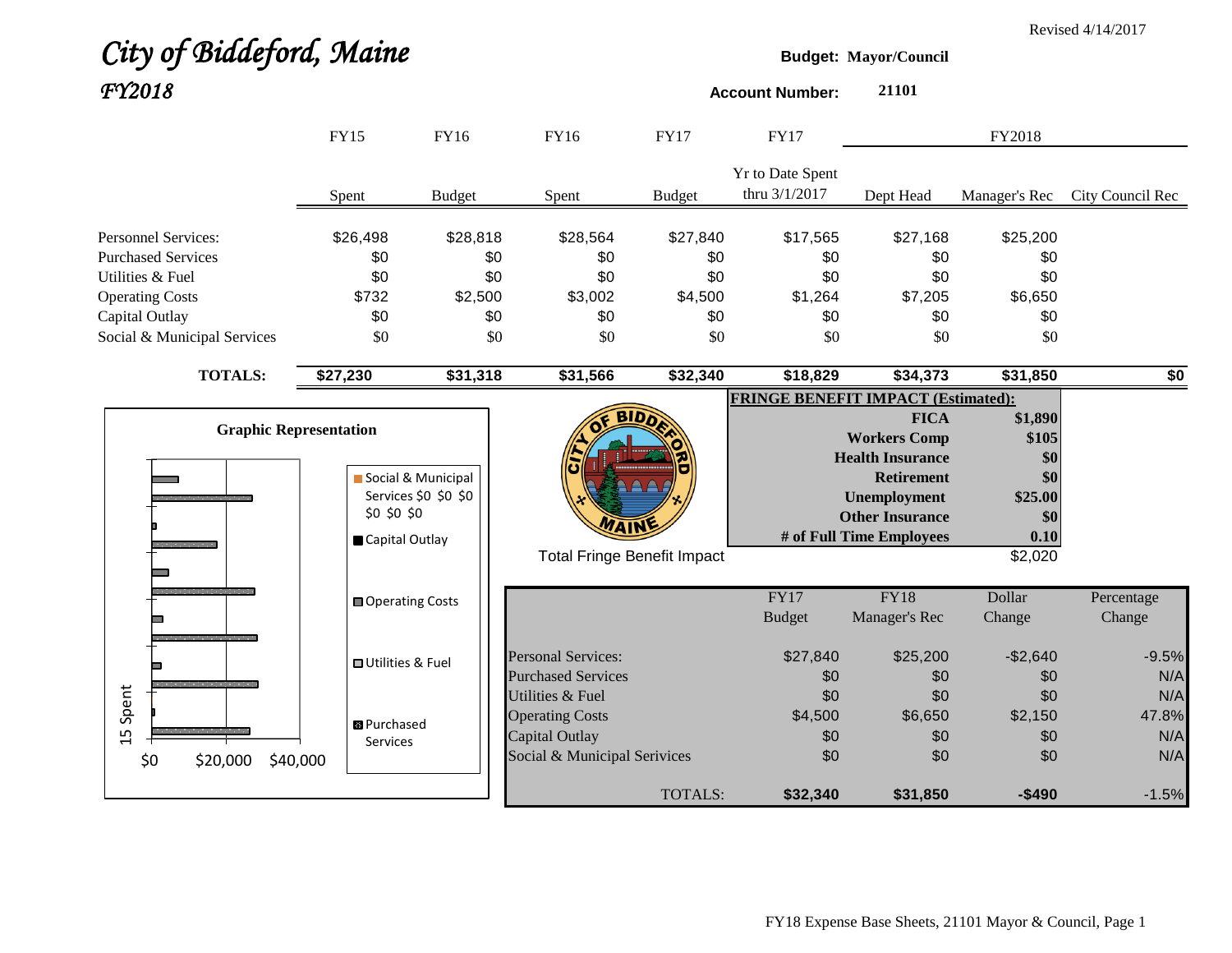|                             |                |                                       |                      |                              |                                    |                                           |                              |               | Revised 4/14/2017 |
|-----------------------------|----------------|---------------------------------------|----------------------|------------------------------|------------------------------------|-------------------------------------------|------------------------------|---------------|-------------------|
|                             |                | City of Biddeford, Maine              |                      |                              |                                    |                                           | <b>Budget: Mayor/Council</b> |               |                   |
| FY2018                      |                |                                       |                      |                              |                                    | <b>Account Number:</b>                    | 21101                        |               |                   |
|                             |                | <b>FY15</b>                           | <b>FY16</b>          | <b>FY16</b>                  | <b>FY17</b>                        | <b>FY17</b>                               |                              | FY2018        |                   |
|                             |                |                                       |                      |                              |                                    | <b>Yr to Date Spent</b>                   |                              |               |                   |
|                             |                | Spent                                 | <b>Budget</b>        | Spent                        | <b>Budget</b>                      | thru 3/1/2017                             | Dept Head                    | Manager's Rec | City Council Rec  |
| <b>Personnel Services:</b>  |                | \$26,498                              | \$28,818             | \$28,564                     | \$27,840                           | \$17,565                                  | \$27,168                     | \$25,200      |                   |
| <b>Purchased Services</b>   |                | \$0                                   | \$0                  | \$0                          | \$0                                | \$0                                       | \$0                          | \$0           |                   |
| Utilities & Fuel            |                | \$0                                   | \$0                  | \$0                          | \$0                                | \$0                                       | \$0                          | \$0           |                   |
| <b>Operating Costs</b>      |                | \$732                                 | \$2,500              | \$3,002                      | \$4,500                            | \$1,264                                   | \$7,205                      | \$6,650       |                   |
| Capital Outlay              |                | \$0                                   | \$0                  | \$0                          | \$0                                | \$0                                       | \$0                          | \$0           |                   |
| Social & Municipal Services |                | \$0                                   | \$0                  | \$0                          | \$0                                | \$0                                       | \$0                          | \$0           |                   |
|                             | <b>TOTALS:</b> | \$27,230                              | \$31,318             | \$31,566                     | \$32,340                           | \$18,829                                  | \$34,373                     | \$31,850      | $\overline{50}$   |
|                             |                |                                       |                      |                              |                                    | <b>FRINGE BENEFIT IMPACT (Estimated):</b> |                              |               |                   |
|                             |                |                                       |                      |                              | <b>BIDD</b>                        |                                           | <b>FICA</b>                  | \$1,890       |                   |
|                             |                | <b>Graphic Representation</b>         |                      |                              |                                    |                                           | <b>Workers Comp</b>          | \$105         |                   |
|                             |                |                                       |                      |                              |                                    |                                           | <b>Health Insurance</b>      | \$0           |                   |
|                             |                |                                       | Social & Municipal   |                              |                                    |                                           | <b>Retirement</b>            | \$0           |                   |
|                             |                |                                       | Services \$0 \$0 \$0 |                              |                                    |                                           | <b>Unemployment</b>          | \$25.00       |                   |
|                             |                | \$0 \$0 \$0                           |                      | WAIN                         |                                    |                                           | <b>Other Insurance</b>       | \$0           |                   |
|                             |                | Capital Outlay                        |                      |                              |                                    |                                           | # of Full Time Employees     | 0.10          |                   |
|                             |                |                                       |                      |                              | <b>Total Fringe Benefit Impact</b> |                                           |                              | \$2,020       |                   |
|                             |                | <b>■ Operating Costs</b>              |                      |                              |                                    | FY17                                      | <b>FY18</b>                  | Dollar        | Percentage        |
|                             |                |                                       |                      |                              |                                    | <b>Budget</b>                             | Manager's Rec                | Change        | Change            |
|                             |                |                                       |                      | <b>Personal Services:</b>    |                                    | \$27,840                                  | \$25,200                     | $-$2,640$     | $-9.5%$           |
|                             |                | <b>□ Utilities &amp; Fuel</b>         |                      | <b>Purchased Services</b>    |                                    | \$0                                       | \$0                          | \$0           | N/A               |
|                             |                |                                       |                      | Utilities & Fuel             |                                    | \$0                                       | \$0                          | \$0           | N/A               |
| Spent                       |                |                                       |                      | <b>Operating Costs</b>       |                                    | \$4,500                                   | \$6,650                      | \$2,150       | 47.8%             |
| 15                          |                | <b>B</b> Purchased<br><b>Services</b> |                      | Capital Outlay               |                                    | \$0                                       | \$0                          | \$0           | N/A               |
| \$0                         | \$20,000       | \$40,000                              |                      | Social & Municipal Serivices |                                    | \$0                                       | \$0                          | \$0           | N/A               |
|                             |                |                                       |                      |                              | TOTALS:                            | \$32,340                                  | \$31,850                     | -\$490        | $-1.5%$           |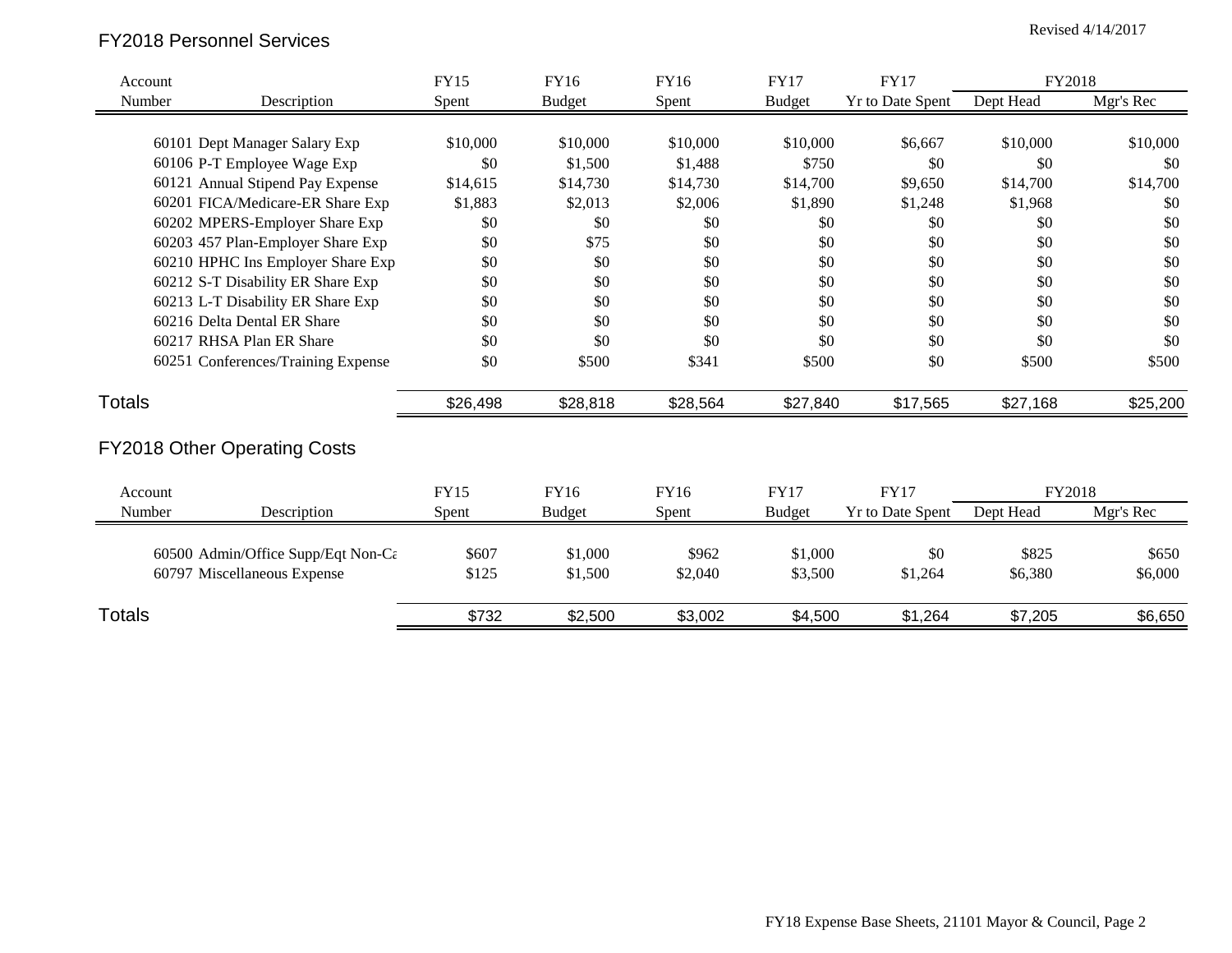# Revised 4/14/2017 FY2018 Personnel Services

| Account       |                                                 | <b>FY15</b> | FY16          | FY16        | <b>FY17</b>   | <b>FY17</b>             | FY2018    |           |
|---------------|-------------------------------------------------|-------------|---------------|-------------|---------------|-------------------------|-----------|-----------|
| Number        | Description                                     | Spent       | <b>Budget</b> | Spent       | <b>Budget</b> | <b>Yr to Date Spent</b> | Dept Head | Mgr's Rec |
|               |                                                 |             |               |             |               |                         |           |           |
|               | 60101 Dept Manager Salary Exp                   | \$10,000    | \$10,000      | \$10,000    | \$10,000      | \$6,667                 | \$10,000  | \$10,000  |
|               | 60106 P-T Employee Wage Exp                     | \$0         | \$1,500       | \$1,488     | \$750         | \$0                     | \$0       | \$0       |
|               | 60121 Annual Stipend Pay Expense                | \$14,615    | \$14,730      | \$14,730    | \$14,700      | \$9,650                 | \$14,700  | \$14,700  |
|               | 60201 FICA/Medicare-ER Share Exp                | \$1,883     | \$2,013       | \$2,006     | \$1,890       | \$1,248                 | \$1,968   | \$0       |
|               | 60202 MPERS-Employer Share Exp                  | \$0         | \$0           | \$0         | \$0           | \$0                     | \$0       | \$0       |
|               | 60203 457 Plan-Employer Share Exp               | \$0         | \$75          | \$0         | \$0           | \$0                     | \$0       | \$0       |
|               | 60210 HPHC Ins Employer Share Exp               | \$0         | \$0           | \$0         | \$0           | \$0                     | \$0       | \$0       |
|               | 60212 S-T Disability ER Share Exp               | \$0         | \$0           | \$0         | \$0           | \$0                     | \$0       | \$0       |
|               | 60213 L-T Disability ER Share Exp               | \$0         | \$0           | \$0         | \$0           | \$0                     | \$0       | \$0       |
|               | 60216 Delta Dental ER Share                     | \$0         | \$0           | \$0         | \$0           | \$0                     | \$0       | \$0       |
|               | 60217 RHSA Plan ER Share                        | \$0         | \$0           | \$0         | \$0           | \$0                     | \$0       | \$0       |
|               | 60251 Conferences/Training Expense              | \$0         | \$500         | \$341       | \$500         | \$0                     | \$500     | \$500     |
| <b>Totals</b> |                                                 | \$26,498    | \$28,818      | \$28,564    | \$27,840      | \$17,565                | \$27,168  | \$25,200  |
|               | <b>FY2018 Other Operating Costs</b>             |             |               |             |               |                         |           |           |
| Account       |                                                 | <b>FY15</b> | <b>FY16</b>   | <b>FY16</b> | <b>FY17</b>   | <b>FY17</b>             | FY2018    |           |
| Number        | Description                                     | Spent       | <b>Budget</b> | Spent       | <b>Budget</b> | <b>Yr to Date Spent</b> | Dept Head | Mgr's Rec |
|               |                                                 |             |               |             |               |                         |           |           |
|               | 60500 Admin/Office Supp/Eqt Non-C $\varepsilon$ | \$607       | \$1,000       | \$962       | \$1,000       | \$0                     | \$825     | \$650     |
|               | 60797 Miscellaneous Expense                     | \$125       | \$1,500       | \$2,040     | \$3,500       | \$1,264                 | \$6,380   | \$6,000   |
| Totals        |                                                 | \$732       | \$2,500       | \$3,002     | \$4,500       | \$1,264                 | \$7,205   | \$6,650   |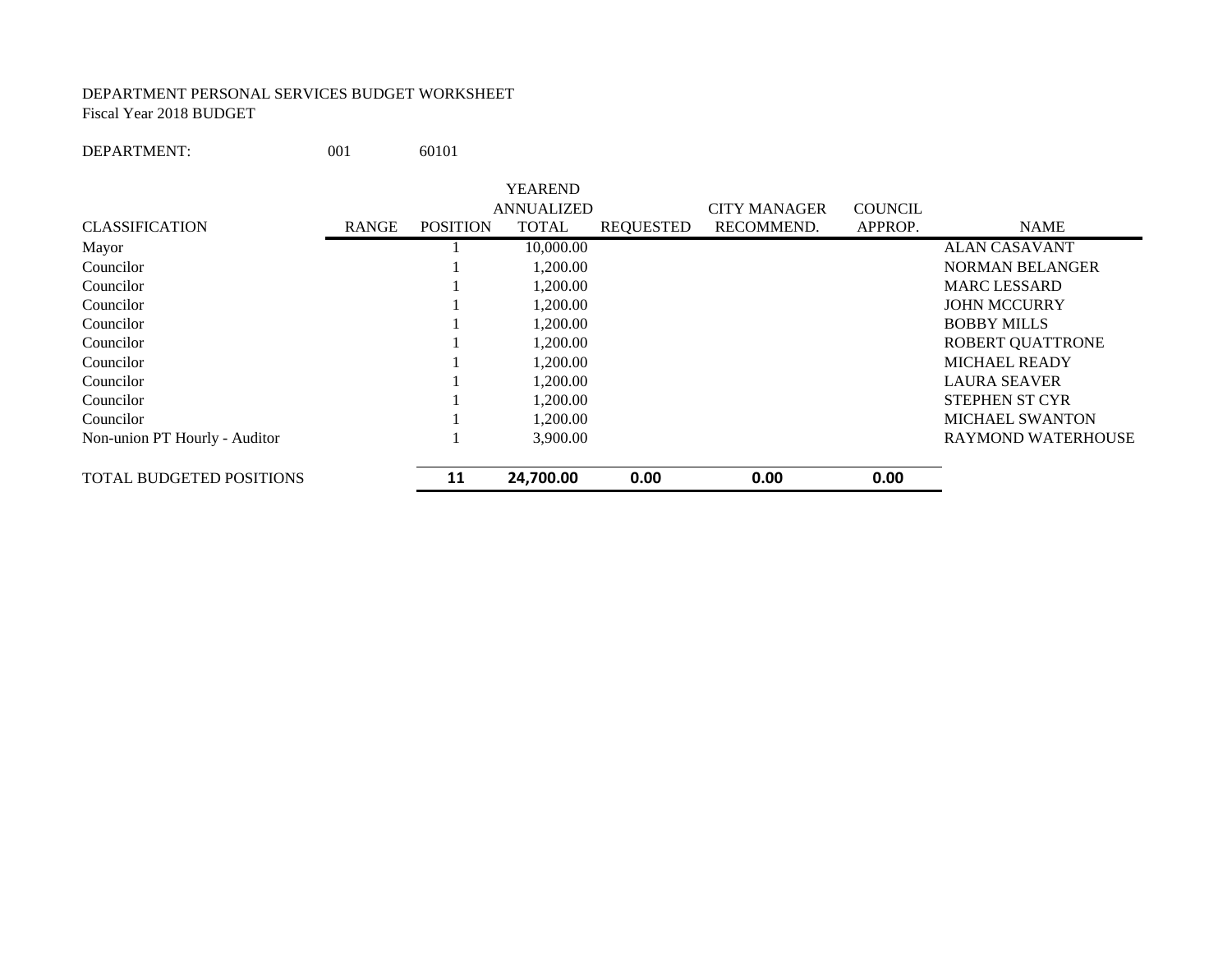#### DEPARTMENT PERSONAL SERVICES BUDGET WORKSHEET Fiscal Year 2018 BUDGET

DEPARTMENT: 001 60101

|                                 |              |                 | <b>YEAREND</b>    |                  |                     |                |                           |
|---------------------------------|--------------|-----------------|-------------------|------------------|---------------------|----------------|---------------------------|
|                                 |              |                 | <b>ANNUALIZED</b> |                  | <b>CITY MANAGER</b> | <b>COUNCIL</b> |                           |
| <b>CLASSIFICATION</b>           | <b>RANGE</b> | <b>POSITION</b> | <b>TOTAL</b>      | <b>REQUESTED</b> | RECOMMEND.          | APPROP.        | <b>NAME</b>               |
| Mayor                           |              |                 | 10,000.00         |                  |                     |                | <b>ALAN CASAVANT</b>      |
| Councilor                       |              |                 | 1,200.00          |                  |                     |                | <b>NORMAN BELANGER</b>    |
| Councilor                       |              |                 | 1,200.00          |                  |                     |                | <b>MARC LESSARD</b>       |
| Councilor                       |              |                 | 1.200.00          |                  |                     |                | <b>JOHN MCCURRY</b>       |
| Councilor                       |              |                 | 1,200.00          |                  |                     |                | <b>BOBBY MILLS</b>        |
| Councilor                       |              |                 | 1,200.00          |                  |                     |                | ROBERT QUATTRONE          |
| Councilor                       |              |                 | 1,200.00          |                  |                     |                | <b>MICHAEL READY</b>      |
| Councilor                       |              |                 | 1,200.00          |                  |                     |                | <b>LAURA SEAVER</b>       |
| Councilor                       |              |                 | 1.200.00          |                  |                     |                | <b>STEPHEN ST CYR</b>     |
| Councilor                       |              |                 | 1,200.00          |                  |                     |                | <b>MICHAEL SWANTON</b>    |
| Non-union PT Hourly - Auditor   |              |                 | 3,900.00          |                  |                     |                | <b>RAYMOND WATERHOUSE</b> |
| <b>TOTAL BUDGETED POSITIONS</b> |              | 11              | 24,700.00         | 0.00             | 0.00                | 0.00           |                           |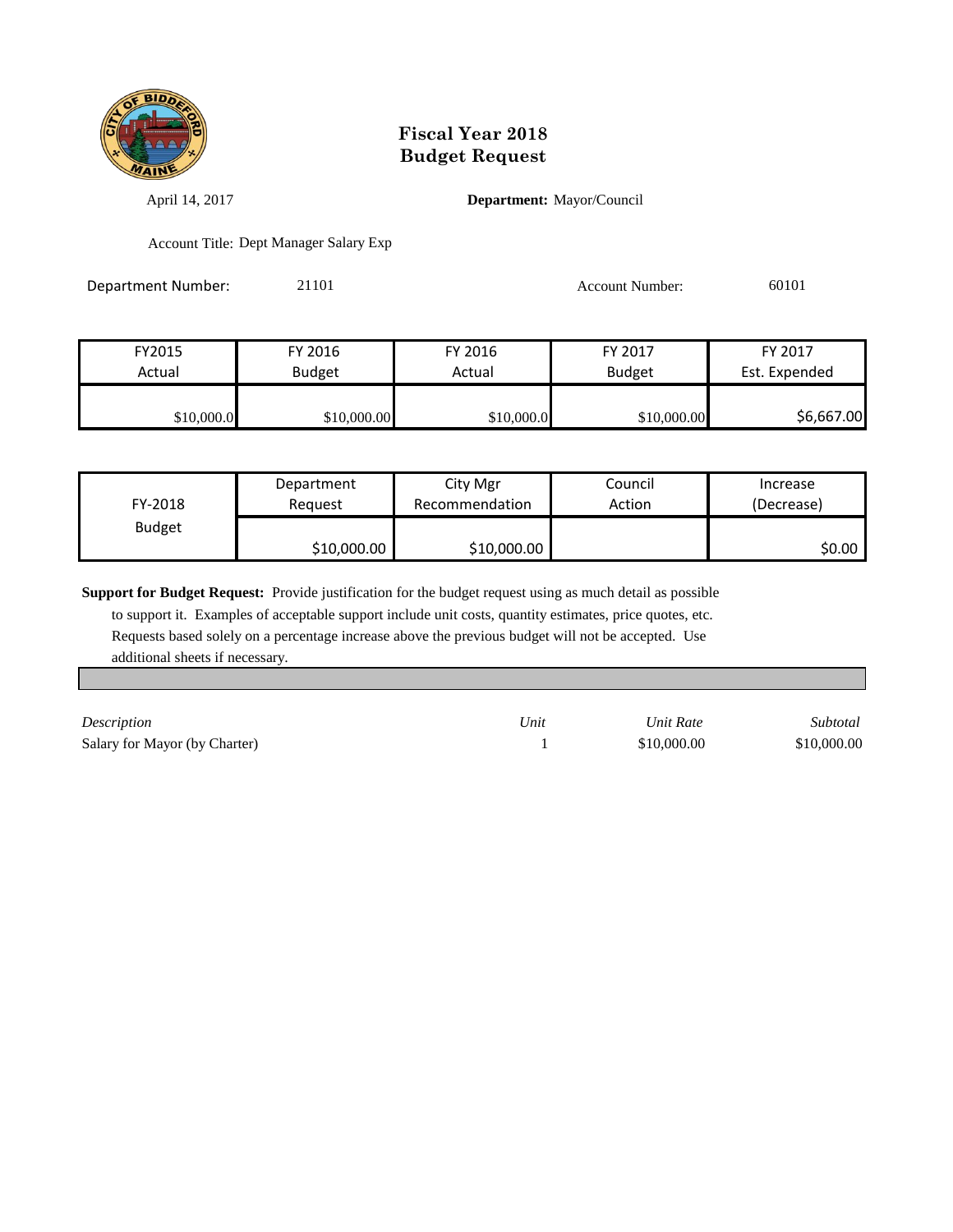

April 14, 2017 **Department:** Mayor/Council

Account Title: Dept Manager Salary Exp

Department Number: 21101 21101 Account Number: 60101

| FY2015     | FY 2016       | FY 2016    | FY 2017       | FY 2017       |
|------------|---------------|------------|---------------|---------------|
| Actual     | <b>Budget</b> |            | <b>Budget</b> | Est. Expended |
|            |               |            |               |               |
| \$10,000.0 | \$10,000.00   | \$10,000.0 | \$10,000.00   | \$6,667.00    |

| FY-2018       | Department  | City Mgr       | Council | Increase   |
|---------------|-------------|----------------|---------|------------|
|               | Reauest     | Recommendation | Action  | (Decrease) |
| <b>Budget</b> | \$10,000.00 | \$10,000.00    |         | SO.OO I    |

**Support for Budget Request:** Provide justification for the budget request using as much detail as possible

 to support it. Examples of acceptable support include unit costs, quantity estimates, price quotes, etc. Requests based solely on a percentage increase above the previous budget will not be accepted. Use additional sheets if necessary.

*Description Unit Unit Rate Subtotal* Salary for Mayor (by Charter) 1 \$10,000.00 \$10,000.00 \$10,000.00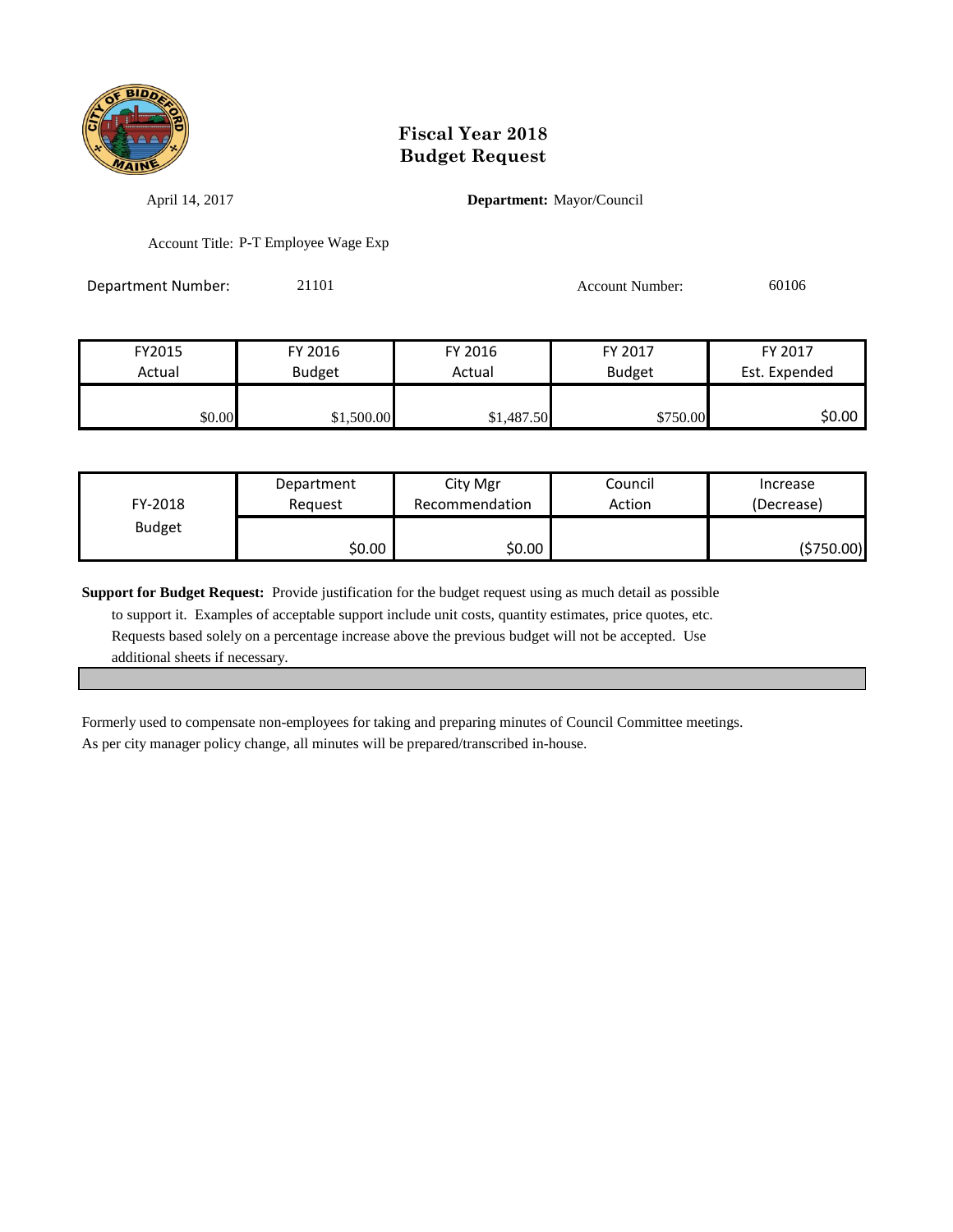

April 14, 2017 **Department:** Mayor/Council

Account Title: P-T Employee Wage Exp

Department Number: 21101 21101 Account Number: 60106

| FY2015 | FY 2016       | FY 2016    | FY 2017       | FY 2017       |
|--------|---------------|------------|---------------|---------------|
| Actual | <b>Budget</b> | Actual     | <b>Budget</b> | Est. Expended |
|        |               |            |               |               |
| \$0.00 | \$1,500.00    | \$1,487.50 | \$750.00      | \$0.00        |

| FY-2018       | Department | City Mgr       | Council | Increase   |
|---------------|------------|----------------|---------|------------|
|               | Reauest    | Recommendation | Action  | (Decrease) |
| <b>Budget</b> | \$0.00     | \$0.00         |         | (\$750.00) |

**Support for Budget Request:** Provide justification for the budget request using as much detail as possible to support it. Examples of acceptable support include unit costs, quantity estimates, price quotes, etc. Requests based solely on a percentage increase above the previous budget will not be accepted. Use additional sheets if necessary.

Formerly used to compensate non-employees for taking and preparing minutes of Council Committee meetings. As per city manager policy change, all minutes will be prepared/transcribed in-house.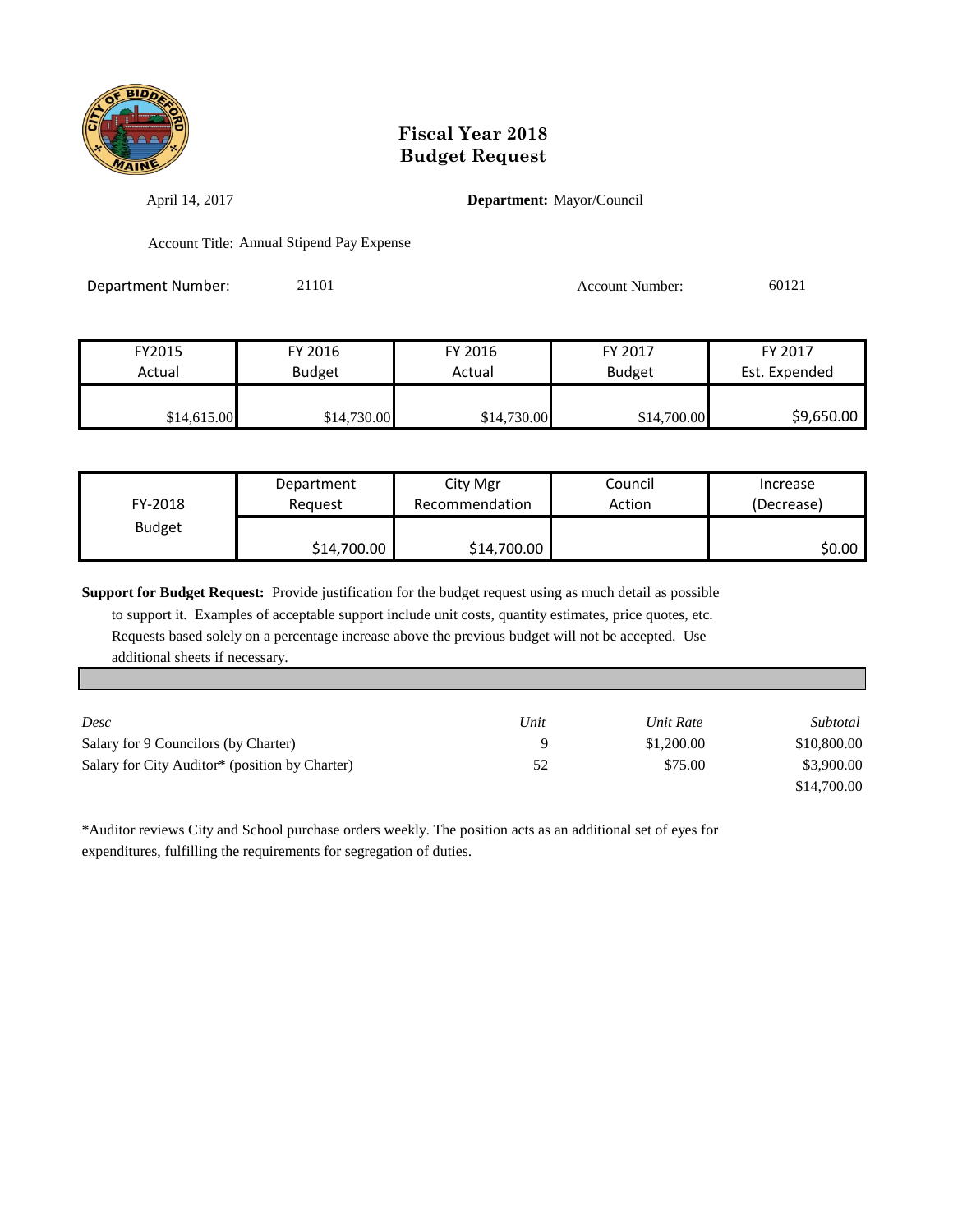

April 14, 2017 **Department:** Mayor/Council

Account Title: Annual Stipend Pay Expense

| Department Number: | 21101 | <b>Account Number:</b> | 60121 |
|--------------------|-------|------------------------|-------|
|                    |       |                        |       |

| FY2015      | FY 2016       | FY 2016     | FY 2017       | FY 2017       |
|-------------|---------------|-------------|---------------|---------------|
| Actual      | <b>Budget</b> | Actual      | <b>Budget</b> | Est. Expended |
|             |               |             |               |               |
| \$14,615.00 | \$14,730.00   | \$14,730.00 | \$14,700.00   | \$9,650.00    |

| FY-2018       | Department<br>Reauest | City Mgr<br>Recommendation | Council<br>Action | Increase<br>(Decrease) |
|---------------|-----------------------|----------------------------|-------------------|------------------------|
| <b>Budget</b> |                       |                            |                   | \$0.00                 |
|               | \$14,700.00           | \$14,700.00                |                   |                        |

**Support for Budget Request:** Provide justification for the budget request using as much detail as possible

 to support it. Examples of acceptable support include unit costs, quantity estimates, price quotes, etc. Requests based solely on a percentage increase above the previous budget will not be accepted. Use additional sheets if necessary.

| Desc                                                       | Unit | Unit Rate  | Subtotal    |
|------------------------------------------------------------|------|------------|-------------|
| Salary for 9 Councilors (by Charter)                       |      | \$1,200.00 | \$10,800.00 |
| Salary for City Auditor <sup>*</sup> (position by Charter) | 52   | \$75.00    | \$3,900.00  |
|                                                            |      |            | \$14,700.00 |

\*Auditor reviews City and School purchase orders weekly. The position acts as an additional set of eyes for expenditures, fulfilling the requirements for segregation of duties.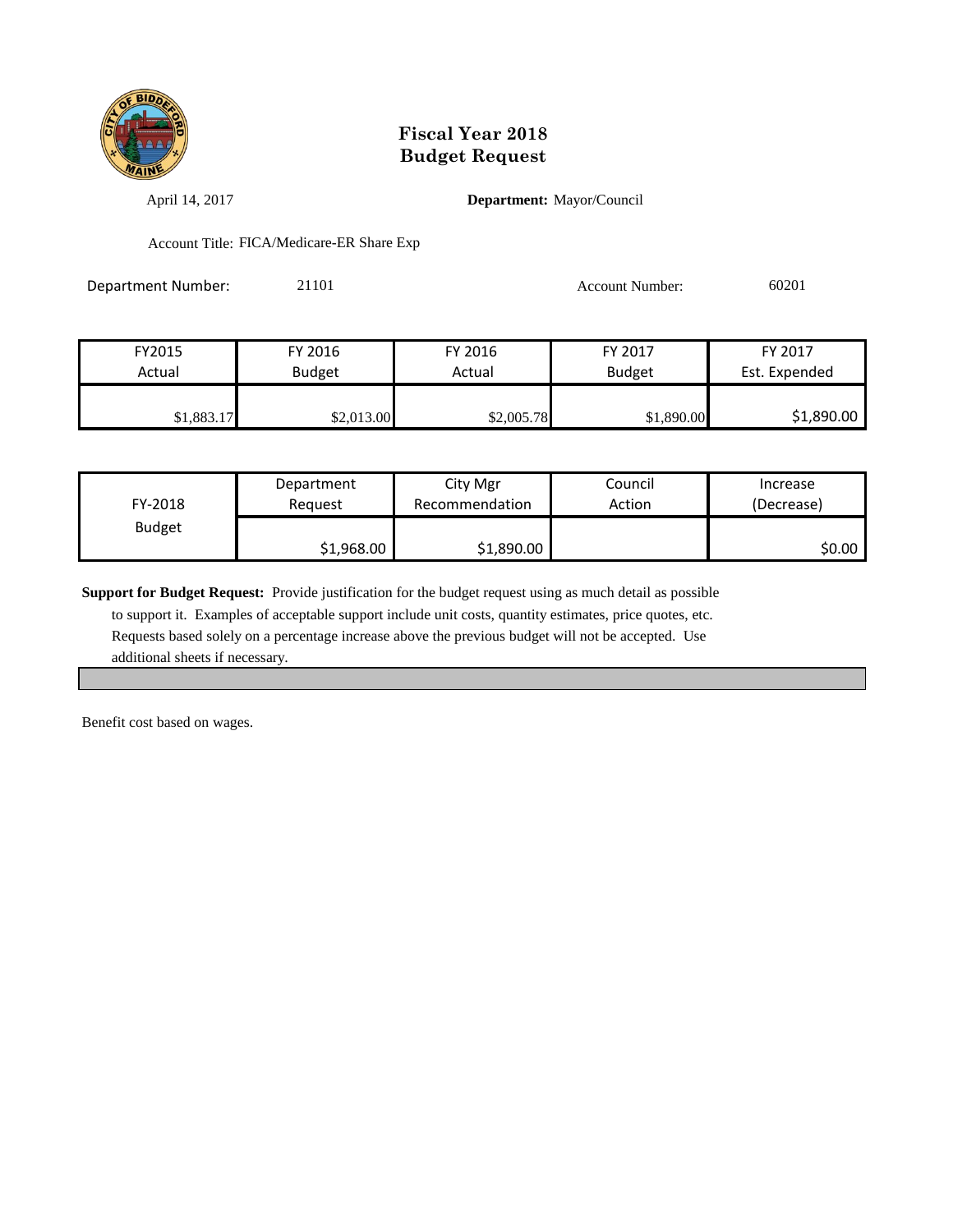

April 14, 2017 **Department:** Mayor/Council

Account Title: FICA/Medicare-ER Share Exp

Department Number: 21101 21101 Account Number: 60201

| FY2015     | FY 2016       | FY 2016    | FY 2017       | FY 2017       |
|------------|---------------|------------|---------------|---------------|
| Actual     | <b>Budget</b> | Actual     | <b>Budget</b> | Est. Expended |
|            |               |            |               |               |
| \$1,883.17 | \$2,013.00    | \$2,005.78 | \$1,890.00    | \$1,890.00    |

| FY-2018       | Department | City Mgr       | Council | Increase   |
|---------------|------------|----------------|---------|------------|
|               | Reauest    | Recommendation | Action  | (Decrease) |
| <b>Budget</b> | \$1,968.00 | \$1,890.00     |         | SO.OO I    |

**Support for Budget Request:** Provide justification for the budget request using as much detail as possible

 to support it. Examples of acceptable support include unit costs, quantity estimates, price quotes, etc. Requests based solely on a percentage increase above the previous budget will not be accepted. Use additional sheets if necessary.

Benefit cost based on wages.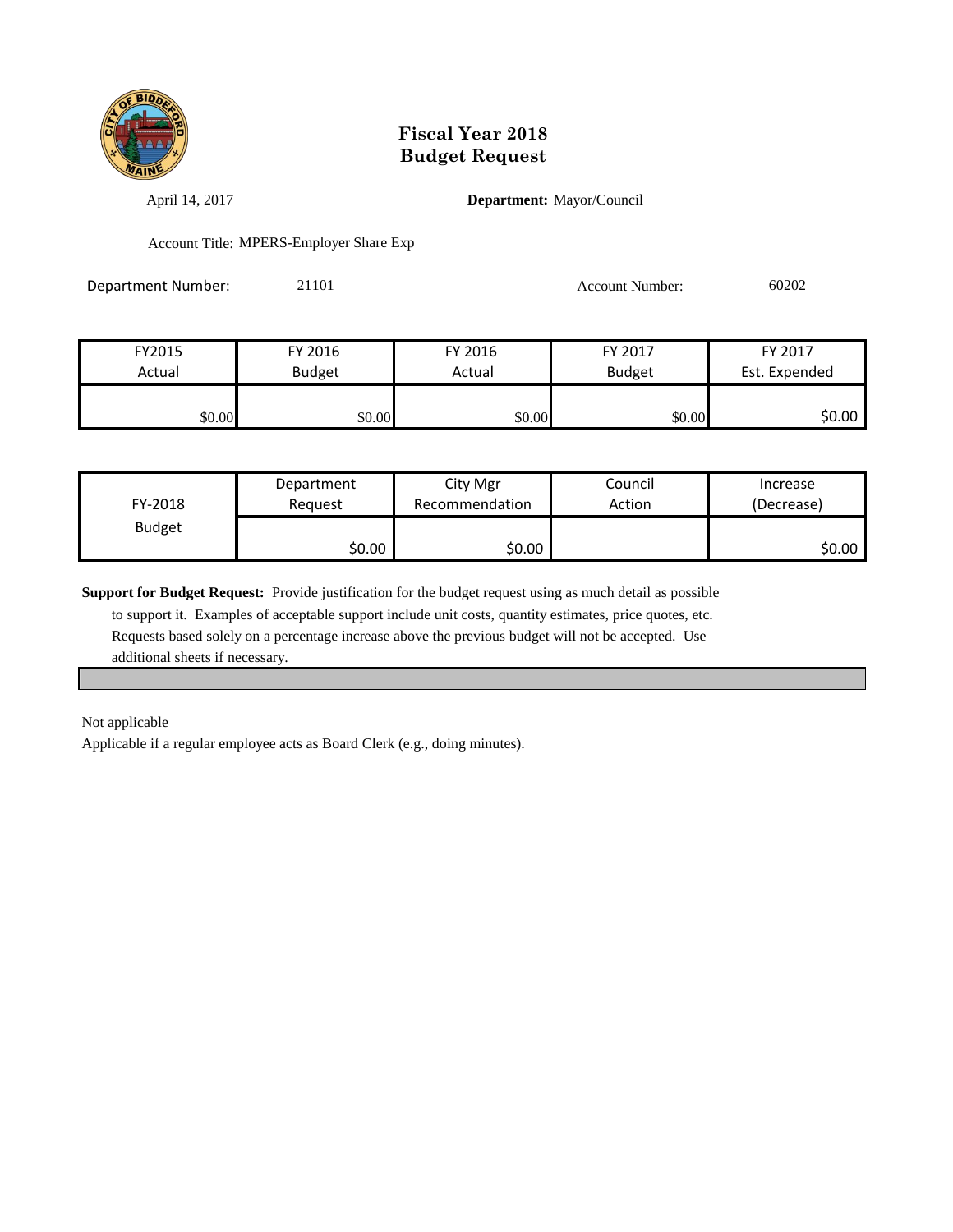

April 14, 2017 **Department:** Mayor/Council

Account Title: MPERS-Employer Share Exp

Department Number: 21101 21101 Account Number: 60202

| FY2015 | FY 2016       | FY 2016 | FY 2017       | FY 2017       |
|--------|---------------|---------|---------------|---------------|
| Actual | <b>Budget</b> | Actual  | <b>Budget</b> | Est. Expended |
|        |               |         |               |               |
| \$0.00 | \$0.00        | \$0.00  | \$0.00        | \$0.00        |

| FY-2018       | Department | City Mgr       | Council | Increase   |
|---------------|------------|----------------|---------|------------|
|               | Reauest    | Recommendation | Action  | (Decrease) |
| <b>Budget</b> | \$0.00     | \$0.00         |         | \$0.00     |

**Support for Budget Request:** Provide justification for the budget request using as much detail as possible

 to support it. Examples of acceptable support include unit costs, quantity estimates, price quotes, etc. Requests based solely on a percentage increase above the previous budget will not be accepted. Use additional sheets if necessary.

Not applicable

Applicable if a regular employee acts as Board Clerk (e.g., doing minutes).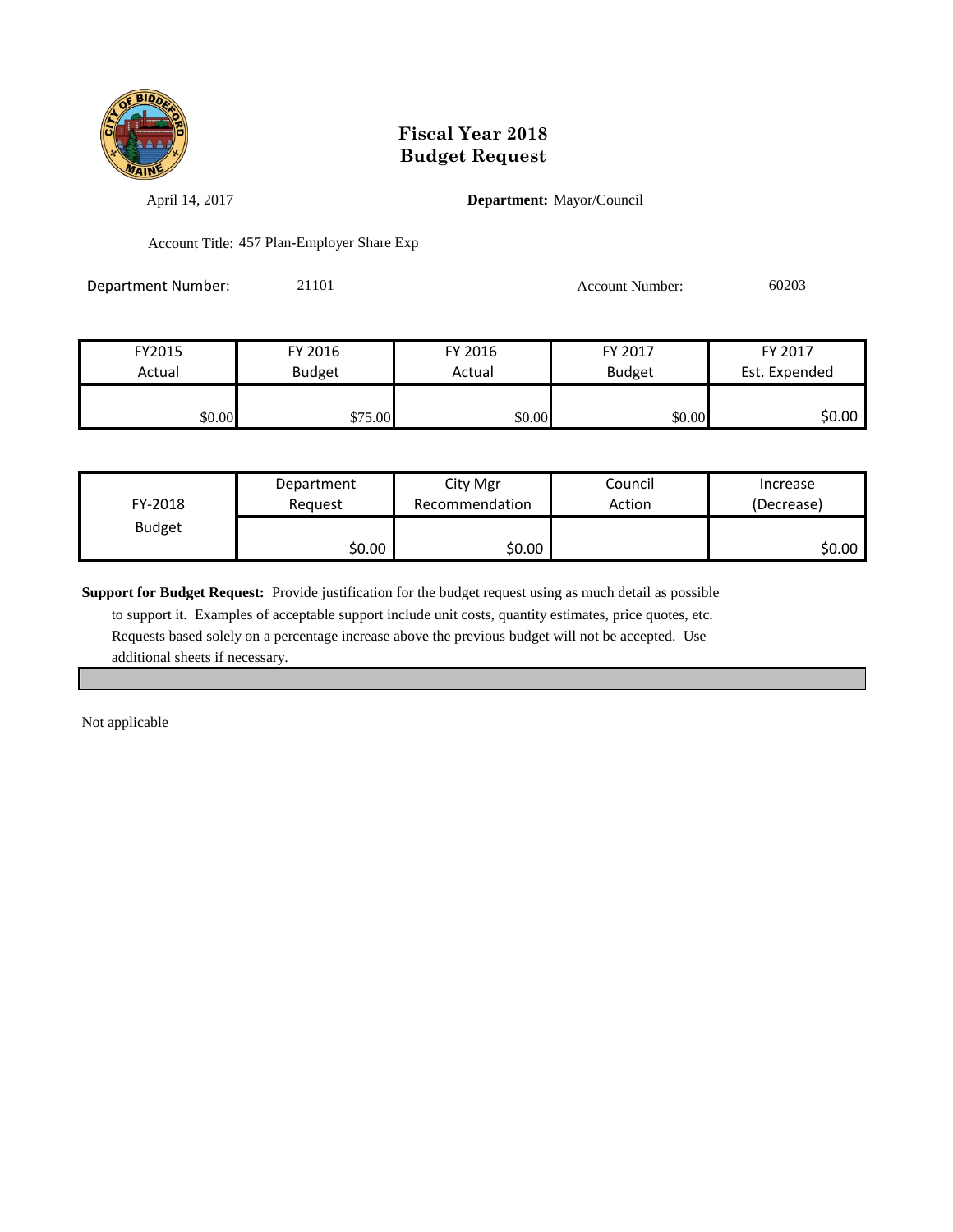

April 14, 2017 **Department:** Mayor/Council

Account Title: 457 Plan-Employer Share Exp

| Department Number: | 21101 | <b>Account Number:</b> | 60203 |
|--------------------|-------|------------------------|-------|
|                    |       |                        |       |

| FY2015 | FY 2016       | FY 2016 | FY 2017       | FY 2017       |
|--------|---------------|---------|---------------|---------------|
| Actual | <b>Budget</b> | Actual  | <b>Budget</b> | Est. Expended |
|        |               |         |               |               |
| \$0.00 | \$75.00       | \$0.00  | \$0.00        | \$0.00        |

| FY-2018       | Department | City Mgr       | Council | Increase   |
|---------------|------------|----------------|---------|------------|
|               | Reguest    | Recommendation | Action  | (Decrease) |
| <b>Budget</b> | \$0.00     | \$0.00         |         | SO.OO      |

**Support for Budget Request:** Provide justification for the budget request using as much detail as possible

 to support it. Examples of acceptable support include unit costs, quantity estimates, price quotes, etc. Requests based solely on a percentage increase above the previous budget will not be accepted. Use additional sheets if necessary.

Not applicable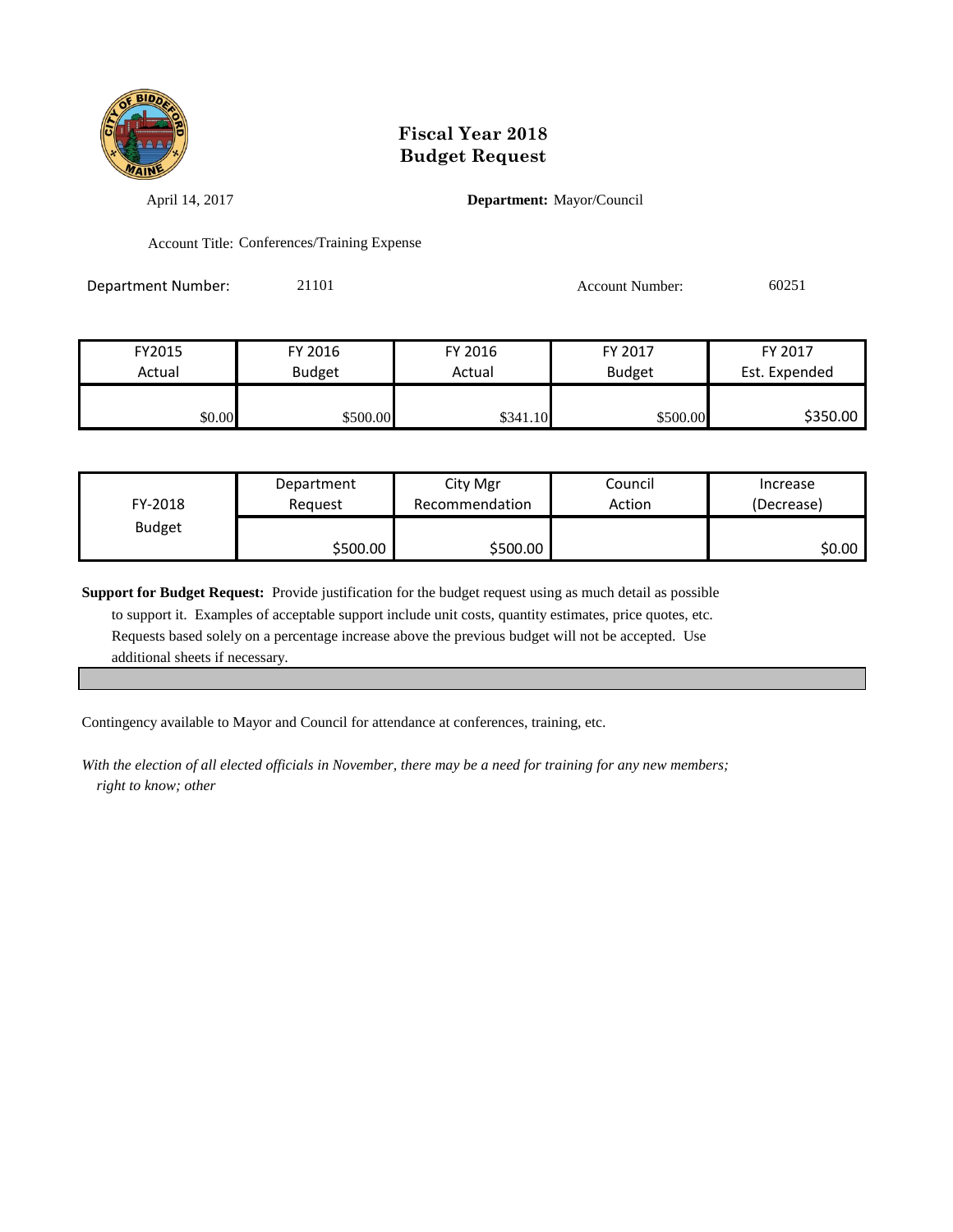

April 14, 2017 **Department:** Mayor/Council

Account Title: Conferences/Training Expense

Department Number: 21101 21101 Account Number: 60251

| FY2015 | FY 2016       | FY 2016  | FY 2017       | FY 2017       |
|--------|---------------|----------|---------------|---------------|
| Actual | <b>Budget</b> | Actual   | <b>Budget</b> | Est. Expended |
|        |               |          |               |               |
| \$0.00 | \$500.00      | \$341.10 | \$500.00      | \$350.00      |

| FY-2018       | Department | City Mgr       | Council | Increase   |
|---------------|------------|----------------|---------|------------|
|               | Reguest    | Recommendation | Action  | (Decrease) |
| <b>Budget</b> | \$500.00   | \$500.00       |         | \$0.00     |

**Support for Budget Request:** Provide justification for the budget request using as much detail as possible to support it. Examples of acceptable support include unit costs, quantity estimates, price quotes, etc. Requests based solely on a percentage increase above the previous budget will not be accepted. Use additional sheets if necessary.

Contingency available to Mayor and Council for attendance at conferences, training, etc.

*With the election of all elected officials in November, there may be a need for training for any new members; right to know; other*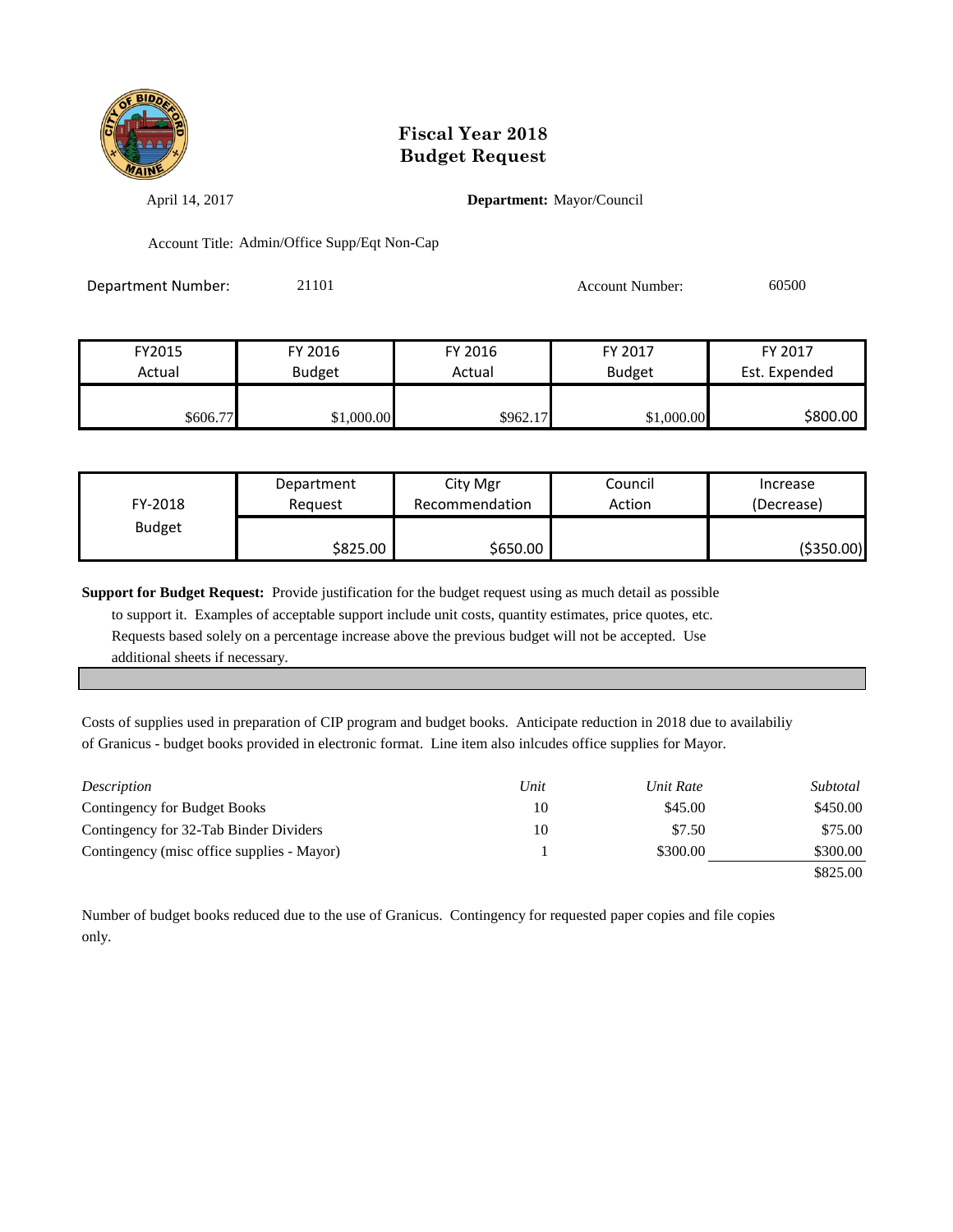

April 14, 2017 **Department:** Mayor/Council

Account Title: Admin/Office Supp/Eqt Non-Cap

| Department Number: | 21101 | <b>Account Number:</b> | 60500 |
|--------------------|-------|------------------------|-------|
|                    |       |                        |       |

| FY2015    | FY 2016    | FY 2016  | FY 2017       | FY 2017       |
|-----------|------------|----------|---------------|---------------|
| Actual    | Budget     | Actual   | <b>Budget</b> | Est. Expended |
|           |            |          |               |               |
| \$606.77I | \$1,000.00 | \$962.17 | \$1,000.00    | \$800.00      |

| FY-2018       | Department | City Mgr       | Council | Increase   |
|---------------|------------|----------------|---------|------------|
|               | Reauest    | Recommendation | Action  | (Decrease) |
| <b>Budget</b> | \$825.00∣  | \$650.00       |         | (\$350.00) |

**Support for Budget Request:** Provide justification for the budget request using as much detail as possible

 to support it. Examples of acceptable support include unit costs, quantity estimates, price quotes, etc. Requests based solely on a percentage increase above the previous budget will not be accepted. Use additional sheets if necessary.

Costs of supplies used in preparation of CIP program and budget books. Anticipate reduction in 2018 due to availabiliy of Granicus - budget books provided in electronic format. Line item also inlcudes office supplies for Mayor.

| Description                                | Unit | Unit Rate | Subtotal |
|--------------------------------------------|------|-----------|----------|
| Contingency for Budget Books               | 10   | \$45.00   | \$450.00 |
| Contingency for 32-Tab Binder Dividers     | 10   | \$7.50    | \$75.00  |
| Contingency (misc office supplies - Mayor) |      | \$300.00  | \$300.00 |
|                                            |      |           | \$825.00 |

Number of budget books reduced due to the use of Granicus. Contingency for requested paper copies and file copies only.